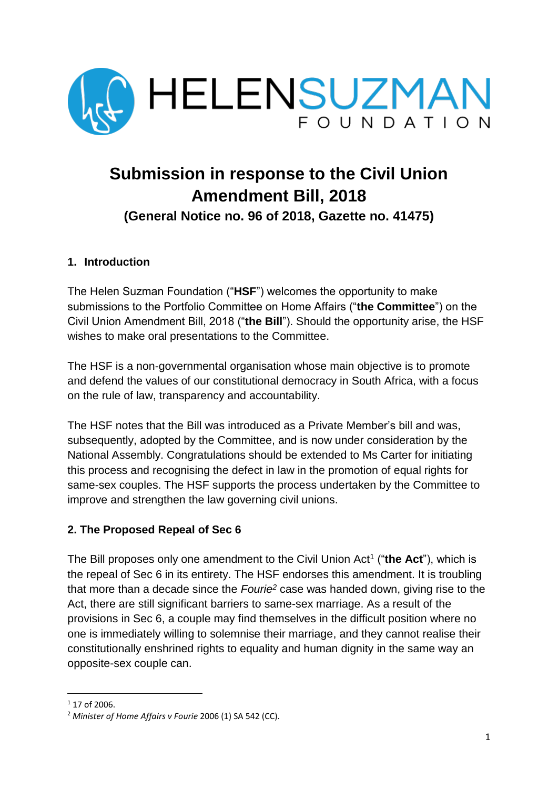

# **Submission in response to the Civil Union Amendment Bill, 2018 (General Notice no. 96 of 2018, Gazette no. 41475)**

# **1. Introduction**

The Helen Suzman Foundation ("**HSF**") welcomes the opportunity to make submissions to the Portfolio Committee on Home Affairs ("**the Committee**") on the Civil Union Amendment Bill, 2018 ("**the Bill**"). Should the opportunity arise, the HSF wishes to make oral presentations to the Committee.

The HSF is a non-governmental organisation whose main objective is to promote and defend the values of our constitutional democracy in South Africa, with a focus on the rule of law, transparency and accountability.

The HSF notes that the Bill was introduced as a Private Member's bill and was, subsequently, adopted by the Committee, and is now under consideration by the National Assembly. Congratulations should be extended to Ms Carter for initiating this process and recognising the defect in law in the promotion of equal rights for same-sex couples. The HSF supports the process undertaken by the Committee to improve and strengthen the law governing civil unions.

#### **2. The Proposed Repeal of Sec 6**

The Bill proposes only one amendment to the Civil Union Act<sup>1</sup> ("the Act"), which is the repeal of Sec 6 in its entirety. The HSF endorses this amendment. It is troubling that more than a decade since the *Fourie<sup>2</sup>* case was handed down, giving rise to the Act, there are still significant barriers to same-sex marriage. As a result of the provisions in Sec 6, a couple may find themselves in the difficult position where no one is immediately willing to solemnise their marriage, and they cannot realise their constitutionally enshrined rights to equality and human dignity in the same way an opposite-sex couple can.

1

 $1$  17 of 2006.

<sup>2</sup> *Minister of Home Affairs v Fourie* 2006 (1) SA 542 (CC).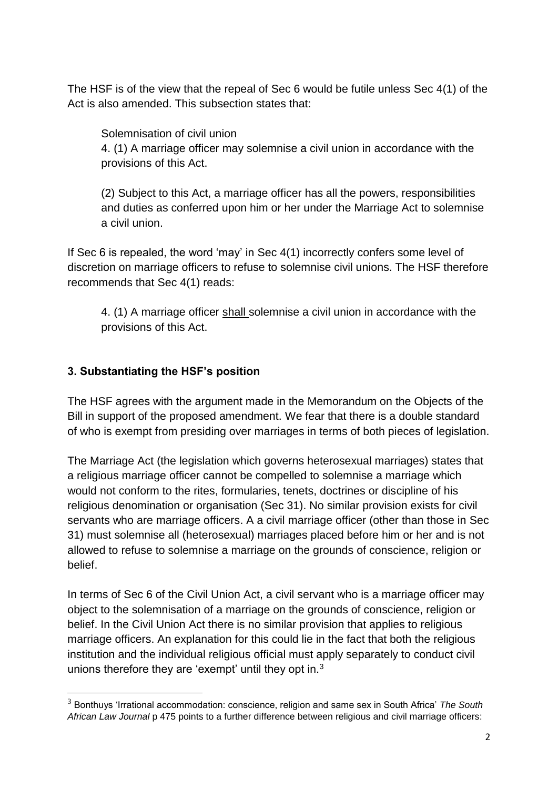The HSF is of the view that the repeal of Sec 6 would be futile unless Sec 4(1) of the Act is also amended. This subsection states that:

Solemnisation of civil union

4. (1) A marriage officer may solemnise a civil union in accordance with the provisions of this Act.

(2) Subject to this Act, a marriage officer has all the powers, responsibilities and duties as conferred upon him or her under the Marriage Act to solemnise a civil union.

If Sec 6 is repealed, the word 'may' in Sec 4(1) incorrectly confers some level of discretion on marriage officers to refuse to solemnise civil unions. The HSF therefore recommends that Sec 4(1) reads:

4. (1) A marriage officer shall solemnise a civil union in accordance with the provisions of this Act.

# **3. Substantiating the HSF's position**

1

The HSF agrees with the argument made in the Memorandum on the Objects of the Bill in support of the proposed amendment. We fear that there is a double standard of who is exempt from presiding over marriages in terms of both pieces of legislation.

The Marriage Act (the legislation which governs heterosexual marriages) states that a religious marriage officer cannot be compelled to solemnise a marriage which would not conform to the rites, formularies, tenets, doctrines or discipline of his religious denomination or organisation (Sec 31). No similar provision exists for civil servants who are marriage officers. A a civil marriage officer (other than those in Sec 31) must solemnise all (heterosexual) marriages placed before him or her and is not allowed to refuse to solemnise a marriage on the grounds of conscience, religion or belief.

In terms of Sec 6 of the Civil Union Act, a civil servant who is a marriage officer may object to the solemnisation of a marriage on the grounds of conscience, religion or belief. In the Civil Union Act there is no similar provision that applies to religious marriage officers. An explanation for this could lie in the fact that both the religious institution and the individual religious official must apply separately to conduct civil unions therefore they are 'exempt' until they opt in.<sup>3</sup>

<sup>3</sup> Bonthuys 'Irrational accommodation: conscience, religion and same sex in South Africa' *The South African Law Journal* p 475 points to a further difference between religious and civil marriage officers: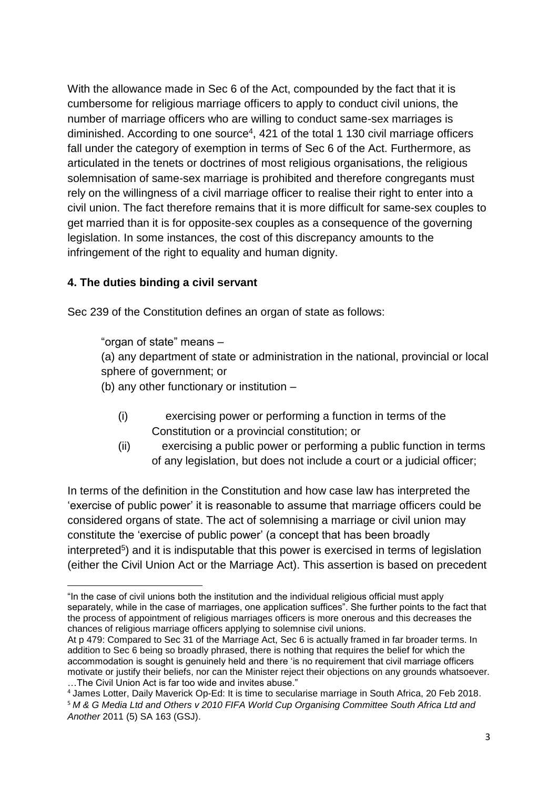With the allowance made in Sec 6 of the Act, compounded by the fact that it is cumbersome for religious marriage officers to apply to conduct civil unions, the number of marriage officers who are willing to conduct same-sex marriages is diminished. According to one source<sup>4</sup>, 421 of the total 1 130 civil marriage officers fall under the category of exemption in terms of Sec 6 of the Act. Furthermore, as articulated in the tenets or doctrines of most religious organisations, the religious solemnisation of same-sex marriage is prohibited and therefore congregants must rely on the willingness of a civil marriage officer to realise their right to enter into a civil union. The fact therefore remains that it is more difficult for same-sex couples to get married than it is for opposite-sex couples as a consequence of the governing legislation. In some instances, the cost of this discrepancy amounts to the infringement of the right to equality and human dignity.

# **4. The duties binding a civil servant**

Sec 239 of the Constitution defines an organ of state as follows:

"organ of state" means –

(a) any department of state or administration in the national, provincial or local sphere of government; or

(b) any other functionary or institution –

- (i) exercising power or performing a function in terms of the Constitution or a provincial constitution; or
- (ii) exercising a public power or performing a public function in terms of any legislation, but does not include a court or a judicial officer;

In terms of the definition in the Constitution and how case law has interpreted the 'exercise of public power' it is reasonable to assume that marriage officers could be considered organs of state. The act of solemnising a marriage or civil union may constitute the 'exercise of public power' (a concept that has been broadly interpreted<sup>5</sup>) and it is indisputable that this power is exercised in terms of legislation (either the Civil Union Act or the Marriage Act). This assertion is based on precedent

**<sup>.</sup>** "In the case of civil unions both the institution and the individual religious official must apply separately, while in the case of marriages, one application suffices". She further points to the fact that the process of appointment of religious marriages officers is more onerous and this decreases the chances of religious marriage officers applying to solemnise civil unions.

At p 479: Compared to Sec 31 of the Marriage Act, Sec 6 is actually framed in far broader terms. In addition to Sec 6 being so broadly phrased, there is nothing that requires the belief for which the accommodation is sought is genuinely held and there 'is no requirement that civil marriage officers motivate or justify their beliefs, nor can the Minister reject their objections on any grounds whatsoever. …The Civil Union Act is far too wide and invites abuse."

<sup>4</sup> James Lotter, Daily Maverick Op-Ed: It is time to secularise marriage in South Africa, 20 Feb 2018. <sup>5</sup> *M & G Media Ltd and Others v 2010 FIFA World Cup Organising Committee South Africa Ltd and Another* 2011 (5) SA 163 (GSJ).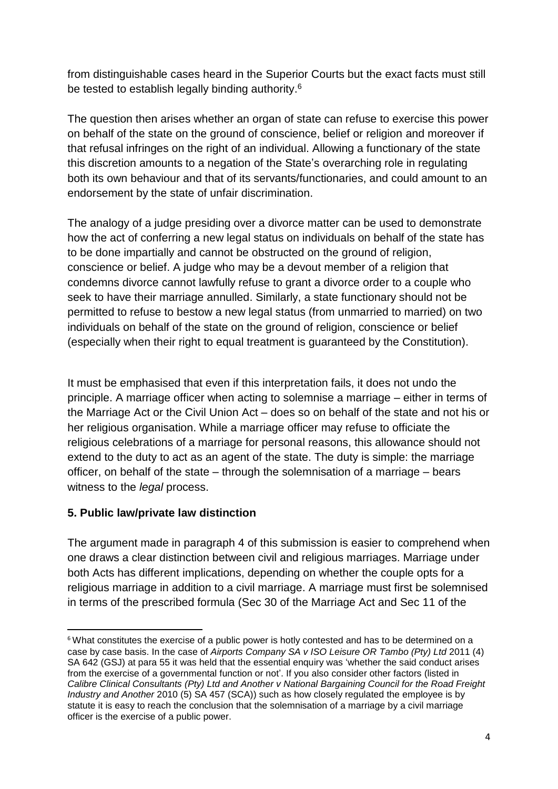from distinguishable cases heard in the Superior Courts but the exact facts must still be tested to establish legally binding authority.<sup>6</sup>

The question then arises whether an organ of state can refuse to exercise this power on behalf of the state on the ground of conscience, belief or religion and moreover if that refusal infringes on the right of an individual. Allowing a functionary of the state this discretion amounts to a negation of the State's overarching role in regulating both its own behaviour and that of its servants/functionaries, and could amount to an endorsement by the state of unfair discrimination.

The analogy of a judge presiding over a divorce matter can be used to demonstrate how the act of conferring a new legal status on individuals on behalf of the state has to be done impartially and cannot be obstructed on the ground of religion, conscience or belief. A judge who may be a devout member of a religion that condemns divorce cannot lawfully refuse to grant a divorce order to a couple who seek to have their marriage annulled. Similarly, a state functionary should not be permitted to refuse to bestow a new legal status (from unmarried to married) on two individuals on behalf of the state on the ground of religion, conscience or belief (especially when their right to equal treatment is guaranteed by the Constitution).

It must be emphasised that even if this interpretation fails, it does not undo the principle. A marriage officer when acting to solemnise a marriage – either in terms of the Marriage Act or the Civil Union Act – does so on behalf of the state and not his or her religious organisation. While a marriage officer may refuse to officiate the religious celebrations of a marriage for personal reasons, this allowance should not extend to the duty to act as an agent of the state. The duty is simple: the marriage officer, on behalf of the state – through the solemnisation of a marriage – bears witness to the *legal* process.

#### **5. Public law/private law distinction**

1

The argument made in paragraph 4 of this submission is easier to comprehend when one draws a clear distinction between civil and religious marriages. Marriage under both Acts has different implications, depending on whether the couple opts for a religious marriage in addition to a civil marriage. A marriage must first be solemnised in terms of the prescribed formula (Sec 30 of the Marriage Act and Sec 11 of the

<sup>&</sup>lt;sup>6</sup> What constitutes the exercise of a public power is hotly contested and has to be determined on a case by case basis. In the case of *Airports Company SA v ISO Leisure OR Tambo (Pty) Ltd* 2011 (4) SA 642 (GSJ) at para 55 it was held that the essential enquiry was 'whether the said conduct arises from the exercise of a governmental function or not'. If you also consider other factors (listed in *Calibre Clinical Consultants (Pty) Ltd and Another v National Bargaining Council for the Road Freight Industry and Another* 2010 (5) SA 457 (SCA)) such as how closely regulated the employee is by statute it is easy to reach the conclusion that the solemnisation of a marriage by a civil marriage officer is the exercise of a public power.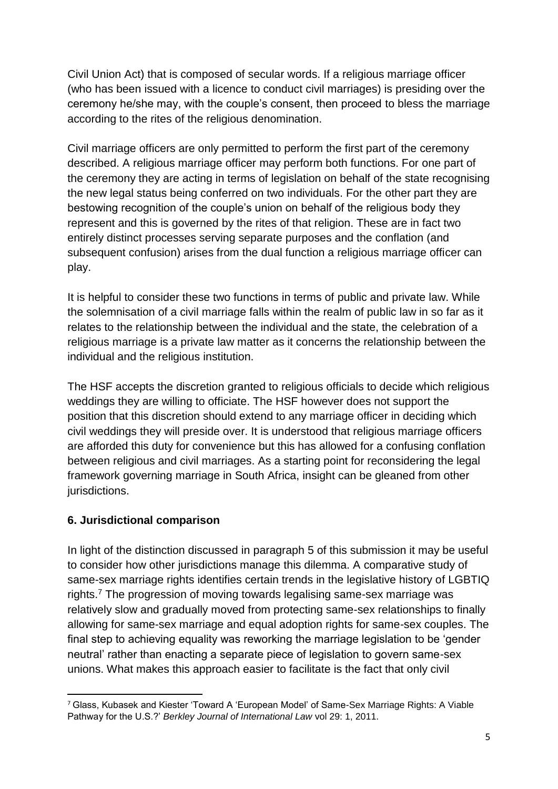Civil Union Act) that is composed of secular words. If a religious marriage officer (who has been issued with a licence to conduct civil marriages) is presiding over the ceremony he/she may, with the couple's consent, then proceed to bless the marriage according to the rites of the religious denomination.

Civil marriage officers are only permitted to perform the first part of the ceremony described. A religious marriage officer may perform both functions. For one part of the ceremony they are acting in terms of legislation on behalf of the state recognising the new legal status being conferred on two individuals. For the other part they are bestowing recognition of the couple's union on behalf of the religious body they represent and this is governed by the rites of that religion. These are in fact two entirely distinct processes serving separate purposes and the conflation (and subsequent confusion) arises from the dual function a religious marriage officer can play.

It is helpful to consider these two functions in terms of public and private law. While the solemnisation of a civil marriage falls within the realm of public law in so far as it relates to the relationship between the individual and the state, the celebration of a religious marriage is a private law matter as it concerns the relationship between the individual and the religious institution.

The HSF accepts the discretion granted to religious officials to decide which religious weddings they are willing to officiate. The HSF however does not support the position that this discretion should extend to any marriage officer in deciding which civil weddings they will preside over. It is understood that religious marriage officers are afforded this duty for convenience but this has allowed for a confusing conflation between religious and civil marriages. As a starting point for reconsidering the legal framework governing marriage in South Africa, insight can be gleaned from other jurisdictions.

#### **6. Jurisdictional comparison**

In light of the distinction discussed in paragraph 5 of this submission it may be useful to consider how other jurisdictions manage this dilemma. A comparative study of same-sex marriage rights identifies certain trends in the legislative history of LGBTIQ rights.<sup>7</sup> The progression of moving towards legalising same-sex marriage was relatively slow and gradually moved from protecting same-sex relationships to finally allowing for same-sex marriage and equal adoption rights for same-sex couples. The final step to achieving equality was reworking the marriage legislation to be 'gender neutral' rather than enacting a separate piece of legislation to govern same-sex unions. What makes this approach easier to facilitate is the fact that only civil

<sup>1</sup> <sup>7</sup> Glass, Kubasek and Kiester 'Toward A 'European Model' of Same-Sex Marriage Rights: A Viable Pathway for the U.S.?' *Berkley Journal of International Law* vol 29: 1, 2011.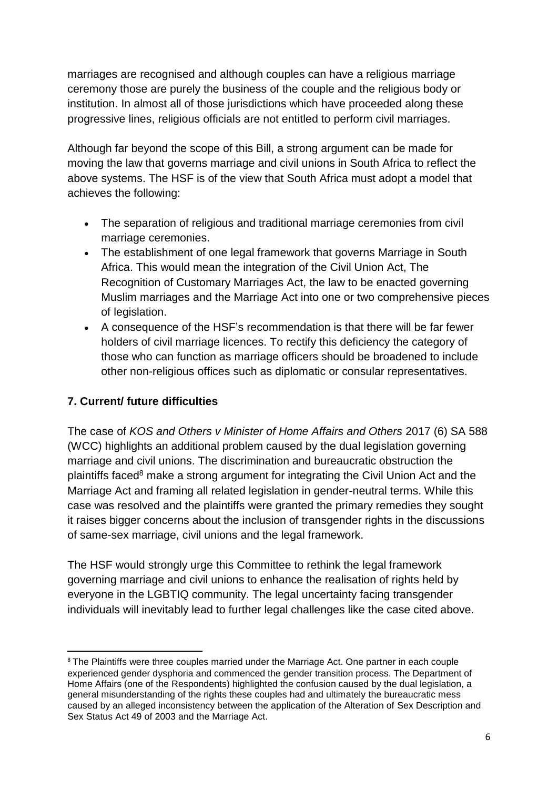marriages are recognised and although couples can have a religious marriage ceremony those are purely the business of the couple and the religious body or institution. In almost all of those jurisdictions which have proceeded along these progressive lines, religious officials are not entitled to perform civil marriages.

Although far beyond the scope of this Bill, a strong argument can be made for moving the law that governs marriage and civil unions in South Africa to reflect the above systems. The HSF is of the view that South Africa must adopt a model that achieves the following:

- The separation of religious and traditional marriage ceremonies from civil marriage ceremonies.
- The establishment of one legal framework that governs Marriage in South Africa. This would mean the integration of the Civil Union Act, The Recognition of Customary Marriages Act, the law to be enacted governing Muslim marriages and the Marriage Act into one or two comprehensive pieces of legislation.
- A consequence of the HSF's recommendation is that there will be far fewer holders of civil marriage licences. To rectify this deficiency the category of those who can function as marriage officers should be broadened to include other non-religious offices such as diplomatic or consular representatives.

# **7. Current/ future difficulties**

The case of *KOS and Others v Minister of Home Affairs and Others* 2017 (6) SA 588 (WCC) highlights an additional problem caused by the dual legislation governing marriage and civil unions. The discrimination and bureaucratic obstruction the plaintiffs faced<sup>8</sup> make a strong argument for integrating the Civil Union Act and the Marriage Act and framing all related legislation in gender-neutral terms. While this case was resolved and the plaintiffs were granted the primary remedies they sought it raises bigger concerns about the inclusion of transgender rights in the discussions of same-sex marriage, civil unions and the legal framework.

The HSF would strongly urge this Committee to rethink the legal framework governing marriage and civil unions to enhance the realisation of rights held by everyone in the LGBTIQ community. The legal uncertainty facing transgender individuals will inevitably lead to further legal challenges like the case cited above.

**<sup>.</sup>** <sup>8</sup> The Plaintiffs were three couples married under the Marriage Act. One partner in each couple experienced gender dysphoria and commenced the gender transition process. The Department of Home Affairs (one of the Respondents) highlighted the confusion caused by the dual legislation, a general misunderstanding of the rights these couples had and ultimately the bureaucratic mess caused by an alleged inconsistency between the application of the Alteration of Sex Description and Sex Status Act 49 of 2003 and the Marriage Act.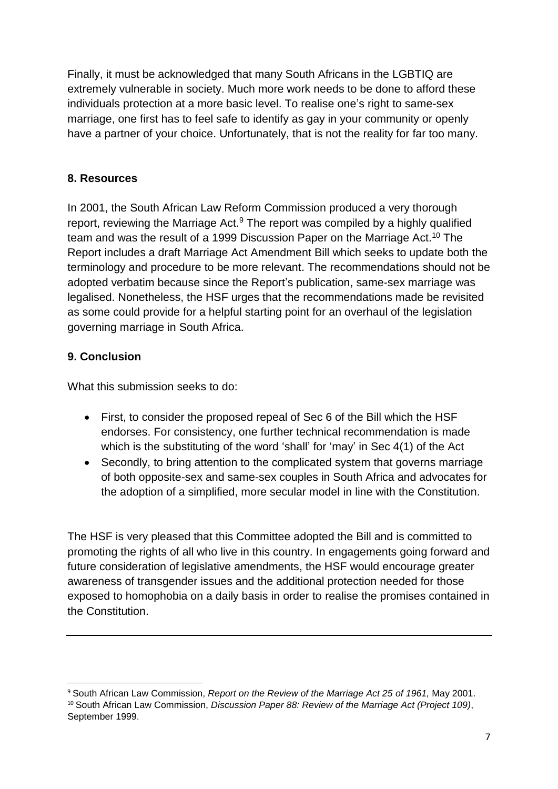Finally, it must be acknowledged that many South Africans in the LGBTIQ are extremely vulnerable in society. Much more work needs to be done to afford these individuals protection at a more basic level. To realise one's right to same-sex marriage, one first has to feel safe to identify as gay in your community or openly have a partner of your choice. Unfortunately, that is not the reality for far too many.

# **8. Resources**

In 2001, the South African Law Reform Commission produced a very thorough report, reviewing the Marriage Act.<sup>9</sup> The report was compiled by a highly qualified team and was the result of a 1999 Discussion Paper on the Marriage Act.<sup>10</sup> The Report includes a draft Marriage Act Amendment Bill which seeks to update both the terminology and procedure to be more relevant. The recommendations should not be adopted verbatim because since the Report's publication, same-sex marriage was legalised. Nonetheless, the HSF urges that the recommendations made be revisited as some could provide for a helpful starting point for an overhaul of the legislation governing marriage in South Africa.

# **9. Conclusion**

What this submission seeks to do:

- First, to consider the proposed repeal of Sec 6 of the Bill which the HSF endorses. For consistency, one further technical recommendation is made which is the substituting of the word 'shall' for 'may' in Sec 4(1) of the Act
- Secondly, to bring attention to the complicated system that governs marriage of both opposite-sex and same-sex couples in South Africa and advocates for the adoption of a simplified, more secular model in line with the Constitution.

The HSF is very pleased that this Committee adopted the Bill and is committed to promoting the rights of all who live in this country. In engagements going forward and future consideration of legislative amendments, the HSF would encourage greater awareness of transgender issues and the additional protection needed for those exposed to homophobia on a daily basis in order to realise the promises contained in the Constitution.

**<sup>.</sup>** <sup>9</sup> South African Law Commission, *Report on the Review of the Marriage Act 25 of 1961,* May 2001. <sup>10</sup> South African Law Commission, *Discussion Paper 88: Review of the Marriage Act (Project 109)*, September 1999.